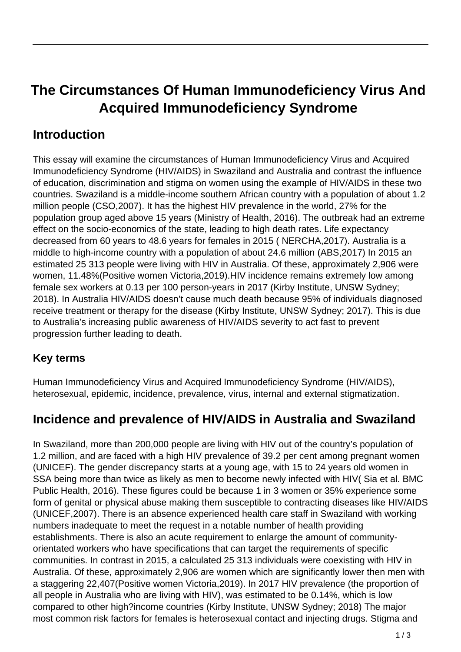# **The Circumstances Of Human Immunodeficiency Virus And Acquired Immunodeficiency Syndrome**

#### **Introduction**

This essay will examine the circumstances of Human Immunodeficiency Virus and Acquired Immunodeficiency Syndrome (HIV/AIDS) in Swaziland and Australia and contrast the influence of education, discrimination and stigma on women using the example of HIV/AIDS in these two countries. Swaziland is a middle-income southern African country with a population of about 1.2 million people (CSO,2007). It has the highest HIV prevalence in the world, 27% for the population group aged above 15 years (Ministry of Health, 2016). The outbreak had an extreme effect on the socio-economics of the state, leading to high death rates. Life expectancy decreased from 60 years to 48.6 years for females in 2015 ( NERCHA,2017). Australia is a middle to high-income country with a population of about 24.6 million (ABS,2017) In 2015 an estimated 25 313 people were living with HIV in Australia. Of these, approximately 2,906 were women, 11.48%(Positive women Victoria,2019).HIV incidence remains extremely low among female sex workers at 0.13 per 100 person-years in 2017 (Kirby Institute, UNSW Sydney; 2018). In Australia HIV/AIDS doesn't cause much death because 95% of individuals diagnosed receive treatment or therapy for the disease (Kirby Institute, UNSW Sydney; 2017). This is due to Australia's increasing public awareness of HIV/AIDS severity to act fast to prevent progression further leading to death.

#### **Key terms**

Human Immunodeficiency Virus and Acquired Immunodeficiency Syndrome (HIV/AIDS), heterosexual, epidemic, incidence, prevalence, virus, internal and external stigmatization.

#### **Incidence and prevalence of HIV/AIDS in Australia and Swaziland**

In Swaziland, more than 200,000 people are living with HIV out of the country's population of 1.2 million, and are faced with a high HIV prevalence of 39.2 per cent among pregnant women (UNICEF). The gender discrepancy starts at a young age, with 15 to 24 years old women in SSA being more than twice as likely as men to become newly infected with HIV( Sia et al. BMC Public Health, 2016). These figures could be because 1 in 3 women or 35% experience some form of genital or physical abuse making them susceptible to contracting diseases like HIV/AIDS (UNICEF,2007). There is an absence experienced health care staff in Swaziland with working numbers inadequate to meet the request in a notable number of health providing establishments. There is also an acute requirement to enlarge the amount of communityorientated workers who have specifications that can target the requirements of specific communities. In contrast in 2015, a calculated 25 313 individuals were coexisting with HIV in Australia. Of these, approximately 2,906 are women which are significantly lower then men with a staggering 22,407(Positive women Victoria,2019). In 2017 HIV prevalence (the proportion of all people in Australia who are living with HIV), was estimated to be 0.14%, which is low compared to other high?income countries (Kirby Institute, UNSW Sydney; 2018) The major most common risk factors for females is heterosexual contact and injecting drugs. Stigma and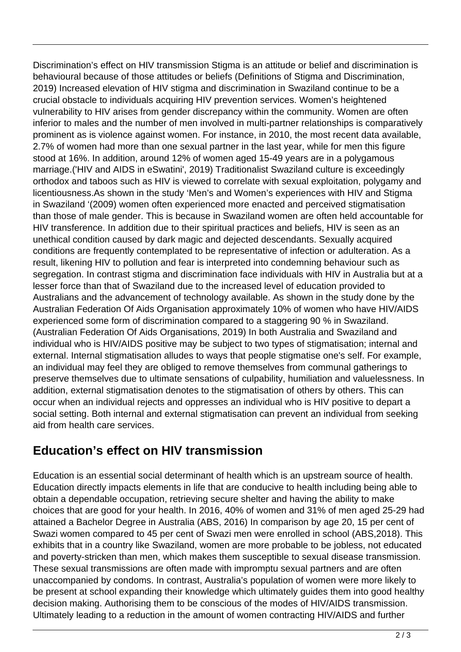Discrimination's effect on HIV transmission Stigma is an attitude or belief and discrimination is behavioural because of those attitudes or beliefs (Definitions of Stigma and Discrimination, 2019) Increased elevation of HIV stigma and discrimination in Swaziland continue to be a crucial obstacle to individuals acquiring HIV prevention services. Women's heightened vulnerability to HIV arises from gender discrepancy within the community. Women are often inferior to males and the number of men involved in multi-partner relationships is comparatively prominent as is violence against women. For instance, in 2010, the most recent data available, 2.7% of women had more than one sexual partner in the last year, while for men this figure stood at 16%. In addition, around 12% of women aged 15-49 years are in a polygamous marriage.('HIV and AIDS in eSwatini', 2019) Traditionalist Swaziland culture is exceedingly orthodox and taboos such as HIV is viewed to correlate with sexual exploitation, polygamy and licentiousness.As shown in the study 'Men's and Women's experiences with HIV and Stigma in Swaziland '(2009) women often experienced more enacted and perceived stigmatisation than those of male gender. This is because in Swaziland women are often held accountable for HIV transference. In addition due to their spiritual practices and beliefs, HIV is seen as an unethical condition caused by dark magic and dejected descendants. Sexually acquired conditions are frequently contemplated to be representative of infection or adulteration. As a result, likening HIV to pollution and fear is interpreted into condemning behaviour such as segregation. In contrast stigma and discrimination face individuals with HIV in Australia but at a lesser force than that of Swaziland due to the increased level of education provided to Australians and the advancement of technology available. As shown in the study done by the Australian Federation Of Aids Organisation approximately 10% of women who have HIV/AIDS experienced some form of discrimination compared to a staggering 90 % in Swaziland. (Australian Federation Of Aids Organisations, 2019) In both Australia and Swaziland and individual who is HIV/AIDS positive may be subject to two types of stigmatisation; internal and external. Internal stigmatisation alludes to ways that people stigmatise one's self. For example, an individual may feel they are obliged to remove themselves from communal gatherings to preserve themselves due to ultimate sensations of culpability, humiliation and valuelessness. In addition, external stigmatisation denotes to the stigmatisation of others by others. This can occur when an individual rejects and oppresses an individual who is HIV positive to depart a social setting. Both internal and external stigmatisation can prevent an individual from seeking aid from health care services.

#### **Education's effect on HIV transmission**

Education is an essential social determinant of health which is an upstream source of health. Education directly impacts elements in life that are conducive to health including being able to obtain a dependable occupation, retrieving secure shelter and having the ability to make choices that are good for your health. In 2016, 40% of women and 31% of men aged 25-29 had attained a Bachelor Degree in Australia (ABS, 2016) In comparison by age 20, 15 per cent of Swazi women compared to 45 per cent of Swazi men were enrolled in school (ABS,2018). This exhibits that in a country like Swaziland, women are more probable to be jobless, not educated and poverty-stricken than men, which makes them susceptible to sexual disease transmission. These sexual transmissions are often made with impromptu sexual partners and are often unaccompanied by condoms. In contrast, Australia's population of women were more likely to be present at school expanding their knowledge which ultimately guides them into good healthy decision making. Authorising them to be conscious of the modes of HIV/AIDS transmission. Ultimately leading to a reduction in the amount of women contracting HIV/AIDS and further